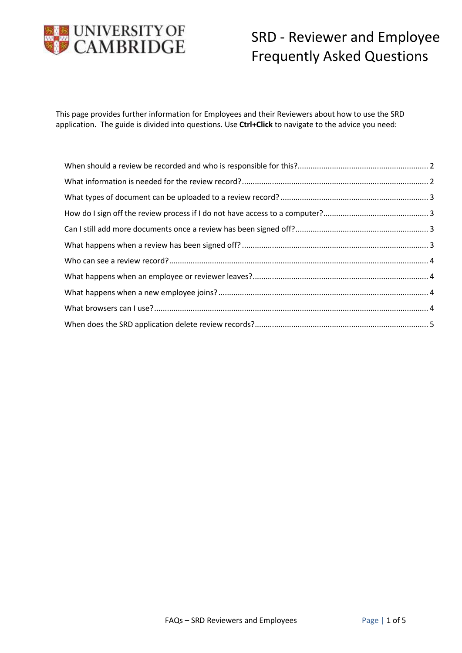

This page provides further information for Employees and their Reviewers about how to use the SRD application. The guide is divided into questions. Use **Ctrl+Click** to navigate to the advice you need: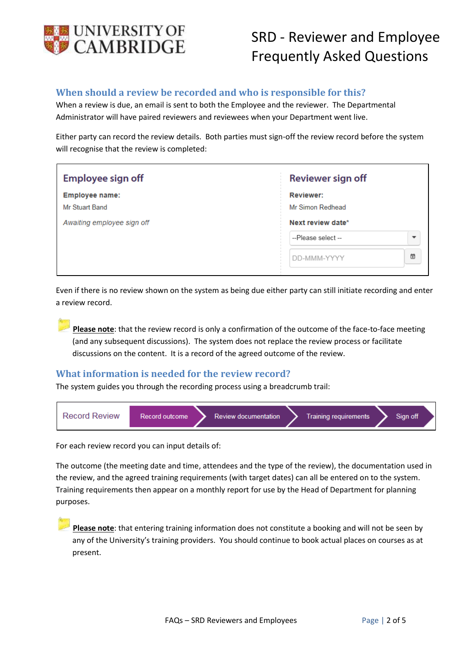

## <span id="page-1-0"></span>**When should a review be recorded and who is responsible for this?**

When a review is due, an email is sent to both the Employee and the reviewer. The Departmental Administrator will have paired reviewers and reviewees when your Department went live.

Either party can record the review details. Both parties must sign-off the review record before the system will recognise that the review is completed:

| Employee sign off                                                     | Reviewer sign off                                         |
|-----------------------------------------------------------------------|-----------------------------------------------------------|
| <b>Employee name:</b><br>Mr Stuart Band<br>Awaiting employee sign off | <b>Reviewer:</b><br>Mr Simon Redhead<br>Next review date* |
|                                                                       | --Please select --<br>$\overline{\phantom{a}}$            |
|                                                                       | 箇<br>DD-MMM-YYYY                                          |

Even if there is no review shown on the system as being due either party can still initiate recording and enter a review record.

**Please note**: that the review record is only a confirmation of the outcome of the face-to-face meeting (and any subsequent discussions). The system does not replace the review process or facilitate discussions on the content. It is a record of the agreed outcome of the review.

### <span id="page-1-1"></span>**What information is needed for the review record?**

The system guides you through the recording process using a breadcrumb trail:



For each review record you can input details of:

The outcome (the meeting date and time, attendees and the type of the review), the documentation used in the review, and the agreed training requirements (with target dates) can all be entered on to the system. Training requirements then appear on a monthly report for use by the Head of Department for planning purposes.

**Please note**: that entering training information does not constitute a booking and will not be seen by any of the University's training providers. You should continue to book actual places on courses as at present.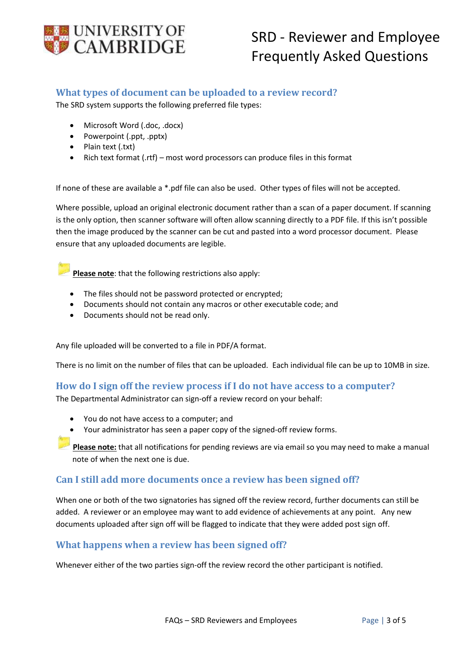

### <span id="page-2-0"></span>**What types of document can be uploaded to a review record?**

The SRD system supports the following preferred file types:

- Microsoft Word (.doc, .docx)
- Powerpoint (.ppt, .pptx)
- Plain text (.txt)
- Rich text format (.rtf) most word processors can produce files in this format

If none of these are available a \*.pdf file can also be used. Other types of files will not be accepted.

Where possible, upload an original electronic document rather than a scan of a paper document. If scanning is the only option, then scanner software will often allow scanning directly to a PDF file. If this isn't possible then the image produced by the scanner can be cut and pasted into a word processor document. Please ensure that any uploaded documents are legible.

**Please note**: that the following restrictions also apply:

- The files should not be password protected or encrypted;
- Documents should not contain any macros or other executable code; and
- Documents should not be read only.

Any file uploaded will be converted to a file in PDF/A format.

There is no limit on the number of files that can be uploaded. Each individual file can be up to 10MB in size.

### <span id="page-2-1"></span>**How do I sign off the review process if I do not have access to a computer?**

The Departmental Administrator can sign-off a review record on your behalf:

- You do not have access to a computer; and
- Your administrator has seen a paper copy of the signed-off review forms.

**Please note:** that all notifications for pending reviews are via email so you may need to make a manual note of when the next one is due.

### <span id="page-2-2"></span>**Can I still add more documents once a review has been signed off?**

When one or both of the two signatories has signed off the review record, further documents can still be added. A reviewer or an employee may want to add evidence of achievements at any point. Any new documents uploaded after sign off will be flagged to indicate that they were added post sign off.

### <span id="page-2-3"></span>**What happens when a review has been signed off?**

Whenever either of the two parties sign-off the review record the other participant is notified.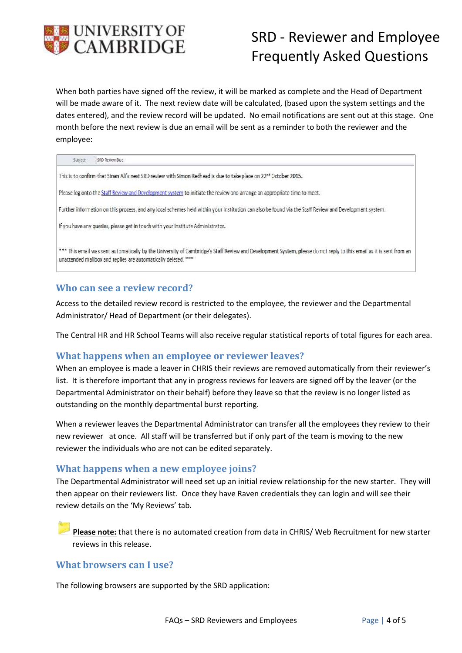

When both parties have signed off the review, it will be marked as complete and the Head of Department will be made aware of it. The next review date will be calculated, (based upon the system settings and the dates entered), and the review record will be updated. No email notifications are sent out at this stage. One month before the next review is due an email will be sent as a reminder to both the reviewer and the employee:

| ٠ | These.<br>-<br>$\sim$<br>u<br>v<br>. . |  |
|---|----------------------------------------|--|
|   |                                        |  |

This is to confirm that Sinan Ali's next SRD review with Simon Redhead is due to take place on 22<sup>nd</sup> October 2015.

Please log onto the Staff Review and Development system to initiate the review and arrange an appropriate time to meet.

Further information on this process, and any local schemes held within your Institution can also be found via the Staff Review and Development system.

If you have any queries, please get in touch with your Institute Administrator.

\*\*\* This email was sent automatically by the University of Cambridge's Staff Review and Development System, please do not reply to this email as it is sent from an unattended mailbox and replies are automatically deleted. \*\*\*

#### <span id="page-3-0"></span>**Who can see a review record?**

Access to the detailed review record is restricted to the employee, the reviewer and the Departmental Administrator/ Head of Department (or their delegates).

The Central HR and HR School Teams will also receive regular statistical reports of total figures for each area.

#### <span id="page-3-1"></span>**What happens when an employee or reviewer leaves?**

When an employee is made a leaver in CHRIS their reviews are removed automatically from their reviewer's list. It is therefore important that any in progress reviews for leavers are signed off by the leaver (or the Departmental Administrator on their behalf) before they leave so that the review is no longer listed as outstanding on the monthly departmental burst reporting.

When a reviewer leaves the Departmental Administrator can transfer all the employees they review to their new reviewer at once. All staff will be transferred but if only part of the team is moving to the new reviewer the individuals who are not can be edited separately.

### <span id="page-3-2"></span>**What happens when a new employee joins?**

The Departmental Administrator will need set up an initial review relationship for the new starter. They will then appear on their reviewers list. Once they have Raven credentials they can login and will see their review details on the 'My Reviews' tab.

**Please note:** that there is no automated creation from data in CHRIS/ Web Recruitment for new starter reviews in this release.

#### <span id="page-3-3"></span>**What browsers can I use?**

The following browsers are supported by the SRD application: